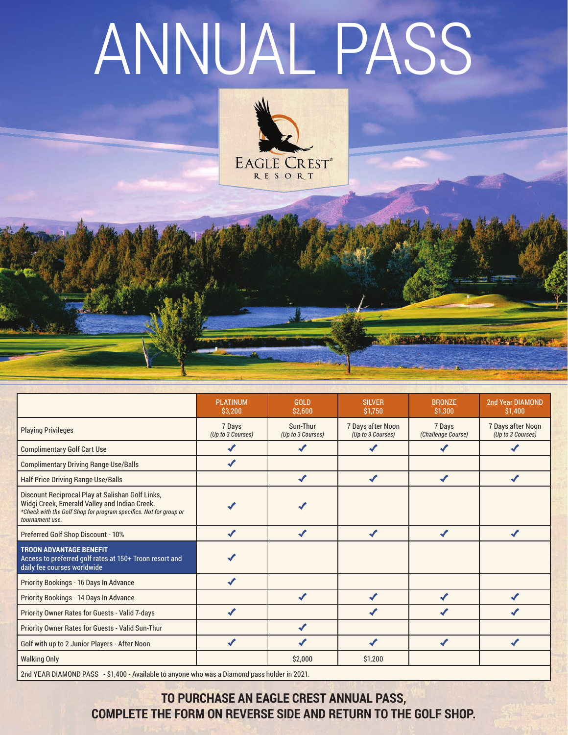## ANNUAL PASS



|                                                                                                                                                                                           | <b>PLATINUM</b><br>\$3,200  | <b>GOLD</b><br>\$2,600        | <b>SILVER</b><br>\$1,750               | <b>BRONZE</b><br>\$1,300     | 2nd Year DIAMOND<br>\$1,400            |  |
|-------------------------------------------------------------------------------------------------------------------------------------------------------------------------------------------|-----------------------------|-------------------------------|----------------------------------------|------------------------------|----------------------------------------|--|
| <b>Playing Privileges</b>                                                                                                                                                                 | 7 Days<br>(Up to 3 Courses) | Sun-Thur<br>(Up to 3 Courses) | 7 Days after Noon<br>(Up to 3 Courses) | 7 Days<br>(Challenge Course) | 7 Days after Noon<br>(Up to 3 Courses) |  |
| <b>Complimentary Golf Cart Use</b>                                                                                                                                                        | J                           | ✔                             |                                        |                              |                                        |  |
| <b>Complimentary Driving Range Use/Balls</b>                                                                                                                                              | ✔                           |                               |                                        |                              |                                        |  |
| <b>Half Price Driving Range Use/Balls</b>                                                                                                                                                 |                             | $\checkmark$                  | $\boldsymbol{J}$                       | $\checkmark$                 | ✔                                      |  |
| Discount Reciprocal Play at Salishan Golf Links,<br>Widgi Creek, Emerald Valley and Indian Creek.<br>*Check with the Golf Shop for program specifics. Not for group or<br>tournament use. |                             |                               |                                        |                              |                                        |  |
| Preferred Golf Shop Discount - 10%                                                                                                                                                        | ✔                           | $\boldsymbol{J}$              | $\checkmark$                           | ✔                            | ✔                                      |  |
| <b>TROON ADVANTAGE BENEFIT</b><br>Access to preferred golf rates at 150+ Troon resort and<br>daily fee courses worldwide                                                                  |                             |                               |                                        |                              |                                        |  |
| Priority Bookings - 16 Days In Advance                                                                                                                                                    | ✔                           |                               |                                        |                              |                                        |  |
| Priority Bookings - 14 Days In Advance                                                                                                                                                    |                             |                               |                                        |                              |                                        |  |
| Priority Owner Rates for Guests - Valid 7-days                                                                                                                                            |                             |                               |                                        |                              |                                        |  |
| Priority Owner Rates for Guests - Valid Sun-Thur                                                                                                                                          |                             |                               |                                        |                              |                                        |  |
| Golf with up to 2 Junior Players - After Noon                                                                                                                                             | ✔                           |                               |                                        | ✔                            |                                        |  |
| <b>Walking Only</b>                                                                                                                                                                       |                             | \$2,000                       | \$1,200                                |                              |                                        |  |
| 2nd YEAR DIAMOND PASS - \$1,400 - Available to anyone who was a Diamond pass holder in 2021.                                                                                              |                             |                               |                                        |                              |                                        |  |

**TANKA ANG MARITIM** 

**TO PURCHASE AN EAGLE CREST ANNUAL PASS, COMPLETE THE FORM ON REVERSE SIDE AND RETURN TO THE GOLF SHOP.**